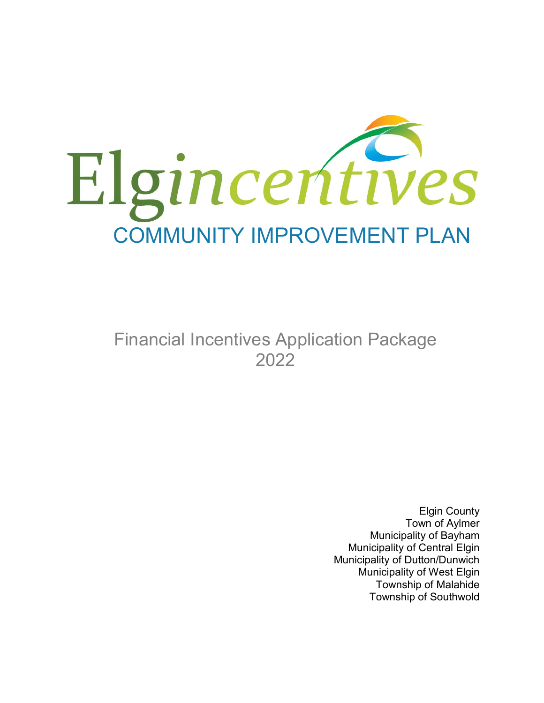

Financial Incentives Application Package 2022

> Elgin County Town of Aylmer Municipality of Bayham Municipality of Central Elgin Municipality of Dutton/Dunwich Municipality of West Elgin Township of Malahide Township of Southwold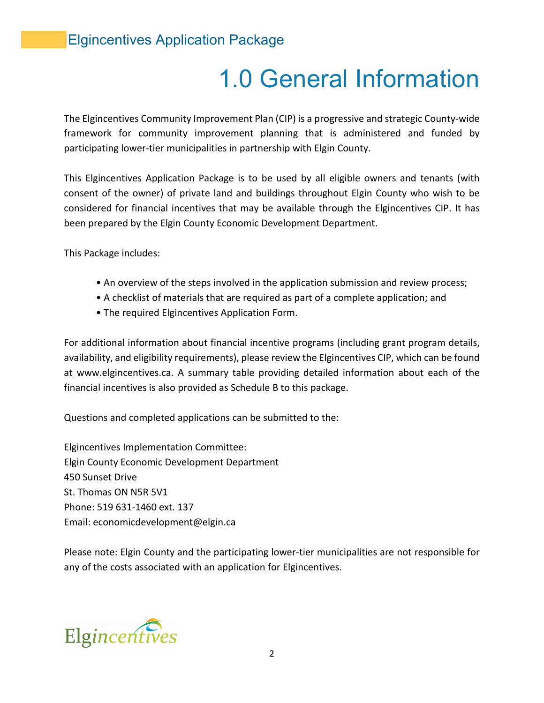# 1.0 General Information

The Elgincentives Community Improvement Plan (CIP) is a progressive and strategic County-wide framework for community improvement planning that is administered and funded by participating lower-tier municipalities in partnership with Elgin County.

This Elgincentives Application Package is to be used by all eligible owners and tenants (with consent of the owner) of private land and buildings throughout Elgin County who wish to be considered for financial incentives that may be available through the Elgincentives CIP. It has been prepared by the Elgin County Economic Development Department.

This Package includes:

- An overview of the steps involved in the application submission and review process;
- A checklist of materials that are required as part of a complete application; and
- The required Elgincentives Application Form.

For additional information about financial incentive programs (including grant program details, availability, and eligibility requirements), please review the Elgincentives CIP, which can be found at www.elgincentives.ca. A summary table providing detailed information about each of the financial incentives is also provided as Schedule B to this package.

Questions and completed applications can be submitted to the:

Elgincentives Implementation Committee: Elgin County Economic Development Department 450 Sunset Drive St. Thomas ON N5R 5V1 Phone: 519 631-1460 ext. 137 Email: economicdevelopment@elgin.ca

Please note: Elgin County and the participating lower-tier municipalities are not responsible for any of the costs associated with an application for Elgincentives.

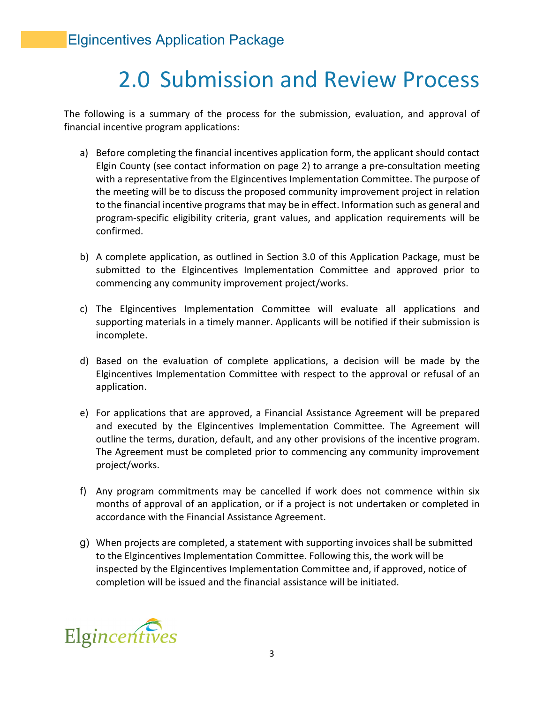# 2.0 Submission and Review Process

The following is a summary of the process for the submission, evaluation, and approval of financial incentive program applications:

- a) Before completing the financial incentives application form, the applicant should contact Elgin County (see contact information on page 2) to arrange a pre-consultation meeting with a representative from the Elgincentives Implementation Committee. The purpose of the meeting will be to discuss the proposed community improvement project in relation to the financial incentive programs that may be in effect. Information such as general and program-specific eligibility criteria, grant values, and application requirements will be confirmed.
- b) A complete application, as outlined in Section 3.0 of this Application Package, must be submitted to the Elgincentives Implementation Committee and approved prior to commencing any community improvement project/works.
- c) The Elgincentives Implementation Committee will evaluate all applications and supporting materials in a timely manner. Applicants will be notified if their submission is incomplete.
- d) Based on the evaluation of complete applications, a decision will be made by the Elgincentives Implementation Committee with respect to the approval or refusal of an application.
- e) For applications that are approved, a Financial Assistance Agreement will be prepared and executed by the Elgincentives Implementation Committee. The Agreement will outline the terms, duration, default, and any other provisions of the incentive program. The Agreement must be completed prior to commencing any community improvement project/works.
- f) Any program commitments may be cancelled if work does not commence within six months of approval of an application, or if a project is not undertaken or completed in accordance with the Financial Assistance Agreement.
- g) When projects are completed, a statement with supporting invoices shall be submitted to the Elgincentives Implementation Committee. Following this, the work will be inspected by the Elgincentives Implementation Committee and, if approved, notice of completion will be issued and the financial assistance will be initiated.

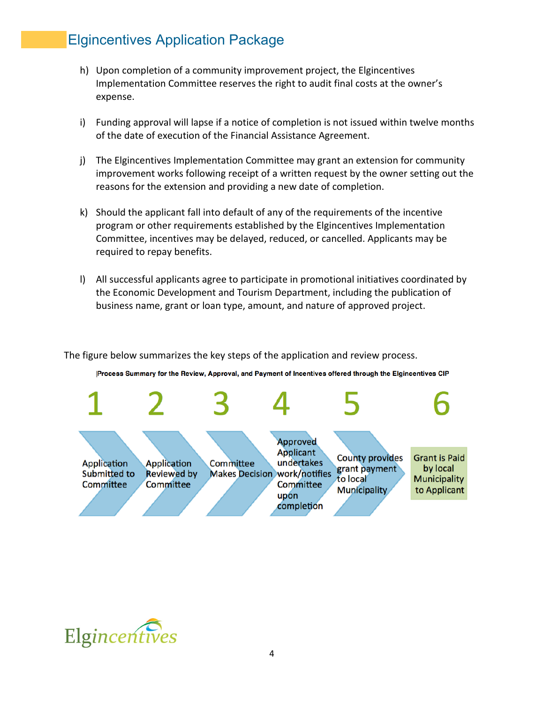- h) Upon completion of a community improvement project, the Elgincentives Implementation Committee reserves the right to audit final costs at the owner's expense.
- i) Funding approval will lapse if a notice of completion is not issued within twelve months of the date of execution of the Financial Assistance Agreement.
- j) The Elgincentives Implementation Committee may grant an extension for community improvement works following receipt of a written request by the owner setting out the reasons for the extension and providing a new date of completion.
- k) Should the applicant fall into default of any of the requirements of the incentive program or other requirements established by the Elgincentives Implementation Committee, incentives may be delayed, reduced, or cancelled. Applicants may be required to repay benefits.
- l) All successful applicants agree to participate in promotional initiatives coordinated by the Economic Development and Tourism Department, including the publication of business name, grant or loan type, amount, and nature of approved project.

The figure below summarizes the key steps of the application and review process.



Process Summary for the Review, Approval, and Payment of Incentives offered through the Elgincentives CIP

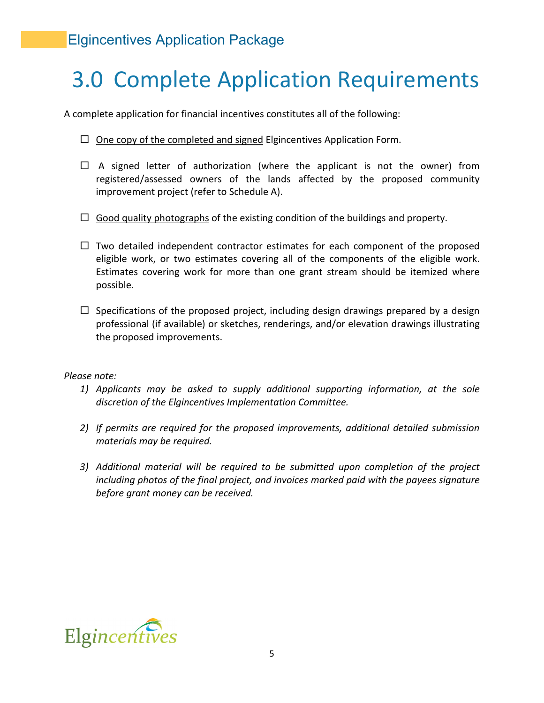# 3.0 Complete Application Requirements

A complete application for financial incentives constitutes all of the following:

- $\Box$  One copy of the completed and signed Elgincentives Application Form.
- $\Box$  A signed letter of authorization (where the applicant is not the owner) from registered/assessed owners of the lands affected by the proposed community improvement project (refer to Schedule A).
- $\Box$  Good quality photographs of the existing condition of the buildings and property.
- $\Box$  Two detailed independent contractor estimates for each component of the proposed eligible work, or two estimates covering all of the components of the eligible work. Estimates covering work for more than one grant stream should be itemized where possible.
- $\Box$  Specifications of the proposed project, including design drawings prepared by a design professional (if available) or sketches, renderings, and/or elevation drawings illustrating the proposed improvements.

#### *Please note:*

- *1) Applicants may be asked to supply additional supporting information, at the sole discretion of the Elgincentives Implementation Committee.*
- *2) If permits are required for the proposed improvements, additional detailed submission materials may be required.*
- *3) Additional material will be required to be submitted upon completion of the project including photos of the final project, and invoices marked paid with the payees signature before grant money can be received.*

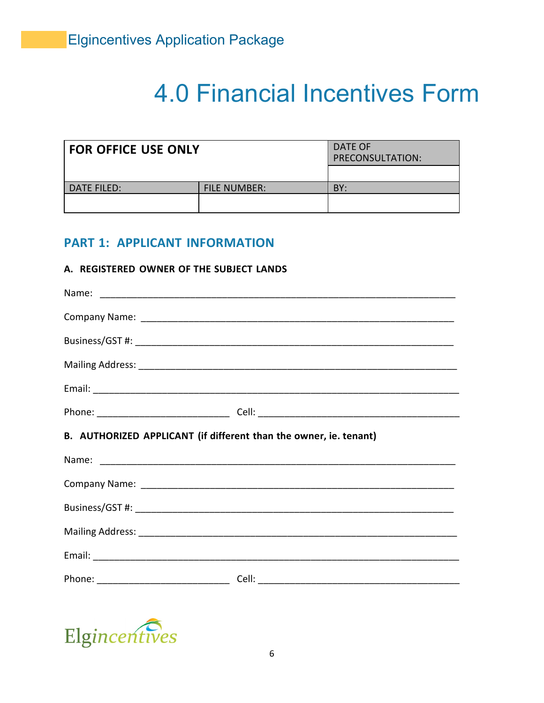# **4.0 Financial Incentives Form**

| <b>FOR OFFICE USE ONLY</b> | DATE OF<br>PRECONSULTATION: |     |
|----------------------------|-----------------------------|-----|
|                            |                             |     |
| l DATE FILED:              | <b>FILE NUMBER:</b>         | BY: |
|                            |                             |     |

## **PART 1: APPLICANT INFORMATION**

#### A. REGISTERED OWNER OF THE SUBJECT LANDS

| B. AUTHORIZED APPLICANT (if different than the owner, ie. tenant) |
|-------------------------------------------------------------------|
|                                                                   |
|                                                                   |
|                                                                   |
|                                                                   |
|                                                                   |
|                                                                   |
|                                                                   |

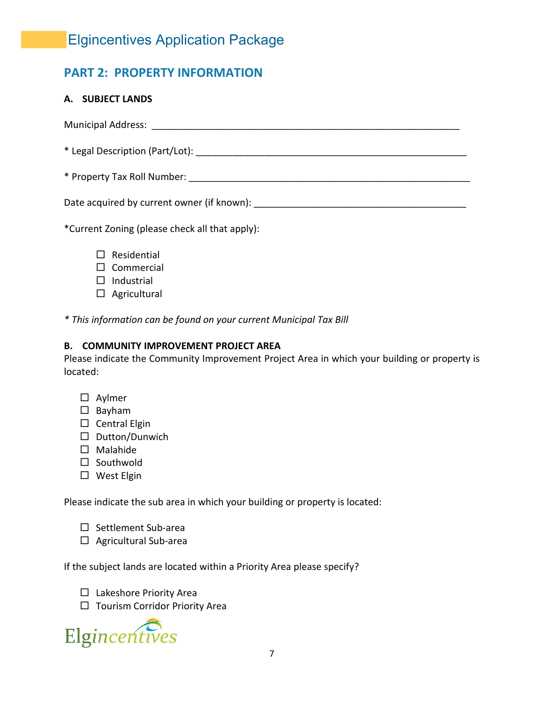## **PART 2: PROPERTY INFORMATION**

## **A. SUBJECT LANDS**

Municipal Address: \_\_\_\_\_\_\_\_\_\_\_\_\_\_\_\_\_\_\_\_\_\_\_\_\_\_\_\_\_\_\_\_\_\_\_\_\_\_\_\_\_\_\_\_\_\_\_\_\_\_\_\_\_\_\_\_\_\_ \* Legal Description (Part/Lot): \_\_\_\_\_\_\_\_\_\_\_\_\_\_\_\_\_\_\_\_\_\_\_\_\_\_\_\_\_\_\_\_\_\_\_\_\_\_\_\_\_\_\_\_\_\_\_\_\_\_\_ \* Property Tax Roll Number: \_\_\_\_\_\_\_\_\_\_\_\_\_\_\_\_\_\_\_\_\_\_\_\_\_\_\_\_\_\_\_\_\_\_\_\_\_\_\_\_\_\_\_\_\_\_\_\_\_\_\_\_\_ Date acquired by current owner (if known):  $\Box$ 

\*Current Zoning (please check all that apply):

- $\square$  Residential
- $\square$  Commercial
- $\Box$  Industrial
- $\Box$  Agricultural

*\* This information can be found on your current Municipal Tax Bill*

## **B. COMMUNITY IMPROVEMENT PROJECT AREA**

Please indicate the Community Improvement Project Area in which your building or property is located:

- □ Aylmer
- $\square$  Bayham
- $\square$  Central Elgin
- $\square$  Dutton/Dunwich
- $\square$  Malahide
- $\square$  Southwold
- □ West Elgin

Please indicate the sub area in which your building or property is located:

- $\square$  Settlement Sub-area
- $\Box$  Agricultural Sub-area

If the subject lands are located within a Priority Area please specify?

- $\Box$  Lakeshore Priority Area
- $\Box$  Tourism Corridor Priority Area

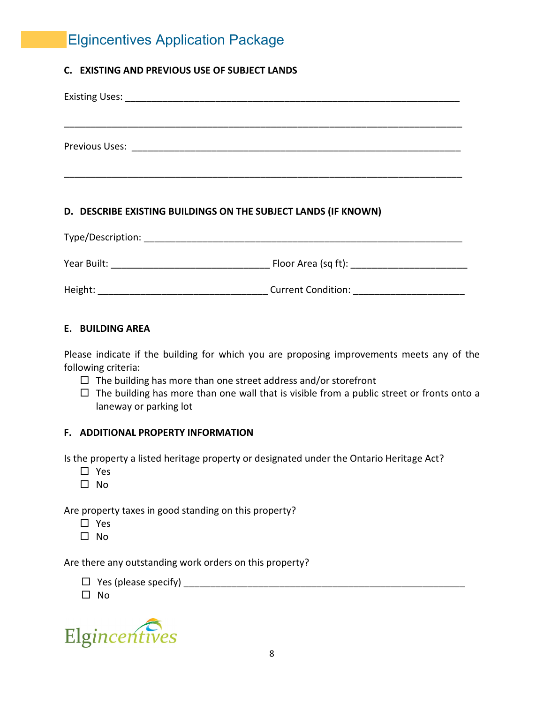## **C. EXISTING AND PREVIOUS USE OF SUBJECT LANDS**

| Previous Uses: Note that the set of the set of the set of the set of the set of the set of the set of the set o |  |  |  |
|-----------------------------------------------------------------------------------------------------------------|--|--|--|
|                                                                                                                 |  |  |  |
|                                                                                                                 |  |  |  |
|                                                                                                                 |  |  |  |

## **D. DESCRIBE EXISTING BUILDINGS ON THE SUBJECT LANDS (IF KNOWN)**

| Type/Description: |                           |
|-------------------|---------------------------|
| Year Built:       | Floor Area (sq ft):       |
| Height:           | <b>Current Condition:</b> |

## **E. BUILDING AREA**

Please indicate if the building for which you are proposing improvements meets any of the following criteria:

- $\Box$  The building has more than one street address and/or storefront
- $\Box$  The building has more than one wall that is visible from a public street or fronts onto a laneway or parking lot

#### **F. ADDITIONAL PROPERTY INFORMATION**

Is the property a listed heritage property or designated under the Ontario Heritage Act?

- $\Box$  Yes
- $\square$  No

Are property taxes in good standing on this property?

- □ Yes
- $\square$  No

Are there any outstanding work orders on this property?

- Yes (please specify) \_\_\_\_\_\_\_\_\_\_\_\_\_\_\_\_\_\_\_\_\_\_\_\_\_\_\_\_\_\_\_\_\_\_\_\_\_\_\_\_\_\_\_\_\_\_\_\_\_\_\_\_\_
- $\square$  No

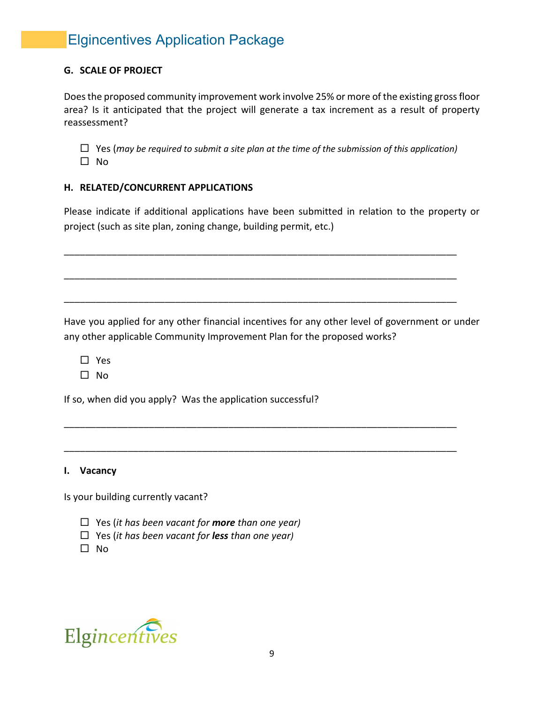## **G. SCALE OF PROJECT**

Does the proposed community improvement work involve 25% or more of the existing gross floor area? Is it anticipated that the project will generate a tax increment as a result of property reassessment?

 Yes (*may be required to submit a site plan at the time of the submission of this application)*  $\square$  No

## **H. RELATED/CONCURRENT APPLICATIONS**

Please indicate if additional applications have been submitted in relation to the property or project (such as site plan, zoning change, building permit, etc.)

\_\_\_\_\_\_\_\_\_\_\_\_\_\_\_\_\_\_\_\_\_\_\_\_\_\_\_\_\_\_\_\_\_\_\_\_\_\_\_\_\_\_\_\_\_\_\_\_\_\_\_\_\_\_\_\_\_\_\_\_\_\_\_\_\_\_\_\_\_\_\_\_\_\_

\_\_\_\_\_\_\_\_\_\_\_\_\_\_\_\_\_\_\_\_\_\_\_\_\_\_\_\_\_\_\_\_\_\_\_\_\_\_\_\_\_\_\_\_\_\_\_\_\_\_\_\_\_\_\_\_\_\_\_\_\_\_\_\_\_\_\_\_\_\_\_\_\_\_

\_\_\_\_\_\_\_\_\_\_\_\_\_\_\_\_\_\_\_\_\_\_\_\_\_\_\_\_\_\_\_\_\_\_\_\_\_\_\_\_\_\_\_\_\_\_\_\_\_\_\_\_\_\_\_\_\_\_\_\_\_\_\_\_\_\_\_\_\_\_\_\_\_\_

\_\_\_\_\_\_\_\_\_\_\_\_\_\_\_\_\_\_\_\_\_\_\_\_\_\_\_\_\_\_\_\_\_\_\_\_\_\_\_\_\_\_\_\_\_\_\_\_\_\_\_\_\_\_\_\_\_\_\_\_\_\_\_\_\_\_\_\_\_\_\_\_\_\_

\_\_\_\_\_\_\_\_\_\_\_\_\_\_\_\_\_\_\_\_\_\_\_\_\_\_\_\_\_\_\_\_\_\_\_\_\_\_\_\_\_\_\_\_\_\_\_\_\_\_\_\_\_\_\_\_\_\_\_\_\_\_\_\_\_\_\_\_\_\_\_\_\_\_

Have you applied for any other financial incentives for any other level of government or under any other applicable Community Improvement Plan for the proposed works?

□ Yes

 $\Box$  No

If so, when did you apply? Was the application successful?

#### **I. Vacancy**

Is your building currently vacant?

- Yes (*it has been vacant for more than one year)*
- Yes (*it has been vacant for less than one year)*
- $\Box$  No

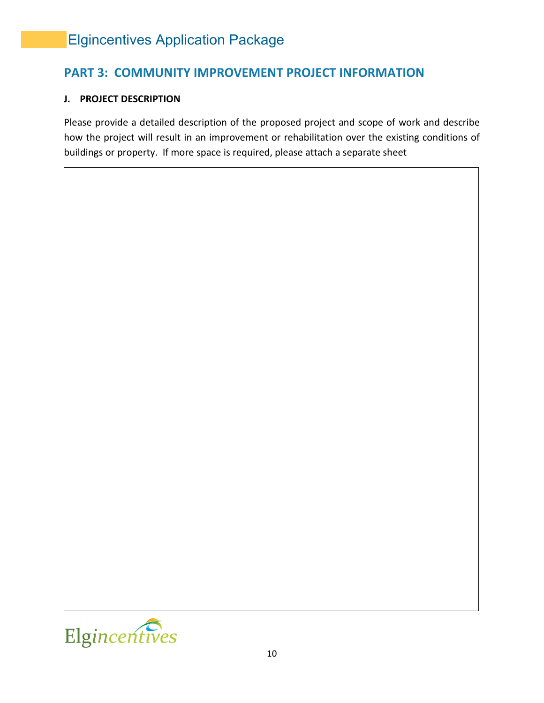## **PART 3: COMMUNITY IMPROVEMENT PROJECT INFORMATION**

## **J. PROJECT DESCRIPTION**

Please provide a detailed description of the proposed project and scope of work and describe how the project will result in an improvement or rehabilitation over the existing conditions of buildings or property. If more space is required, please attach a separate sheet

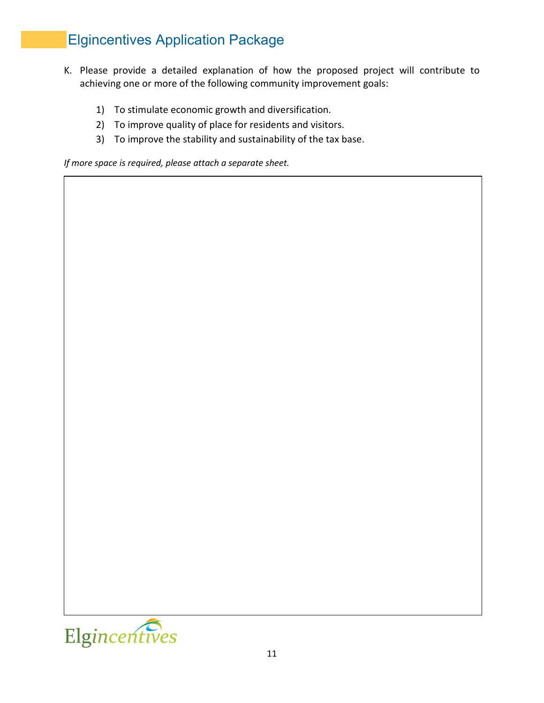- K. Please provide a detailed explanation of how the proposed project will contribute to achieving one or more of the following community improvement goals:
	- 1) To stimulate economic growth and diversification.
	- 2) To improve quality of place for residents and visitors.
	- 3) To improve the stability and sustainability of the tax base.

*If more space is required, please attach a separate sheet.*

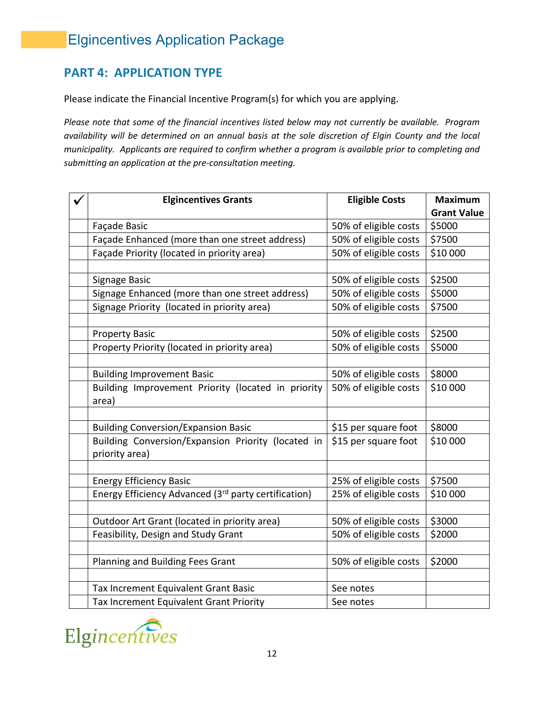## **PART 4: APPLICATION TYPE**

Please indicate the Financial Incentive Program(s) for which you are applying.

*Please note that some of the financial incentives listed below may not currently be available. Program availability will be determined on an annual basis at the sole discretion of Elgin County and the local municipality. Applicants are required to confirm whether a program is available prior to completing and submitting an application at the pre-consultation meeting.*

| <b>Elgincentives Grants</b>                                      | <b>Eligible Costs</b> | <b>Maximum</b>     |
|------------------------------------------------------------------|-----------------------|--------------------|
|                                                                  |                       | <b>Grant Value</b> |
| Façade Basic                                                     | 50% of eligible costs | \$5000             |
| Façade Enhanced (more than one street address)                   | 50% of eligible costs | \$7500             |
| Façade Priority (located in priority area)                       | 50% of eligible costs | \$10 000           |
|                                                                  |                       |                    |
| Signage Basic                                                    | 50% of eligible costs | \$2500             |
| Signage Enhanced (more than one street address)                  | 50% of eligible costs | \$5000             |
| Signage Priority (located in priority area)                      | 50% of eligible costs | \$7500             |
|                                                                  |                       |                    |
| <b>Property Basic</b>                                            | 50% of eligible costs | \$2500             |
| Property Priority (located in priority area)                     | 50% of eligible costs | \$5000             |
|                                                                  |                       |                    |
| <b>Building Improvement Basic</b>                                | 50% of eligible costs | \$8000             |
| Building Improvement Priority (located in priority               | 50% of eligible costs | \$10 000           |
| area)                                                            |                       |                    |
|                                                                  |                       |                    |
| <b>Building Conversion/Expansion Basic</b>                       | \$15 per square foot  | \$8000             |
| Building Conversion/Expansion Priority (located in               | \$15 per square foot  | \$10 000           |
| priority area)                                                   |                       |                    |
|                                                                  |                       |                    |
| <b>Energy Efficiency Basic</b>                                   | 25% of eligible costs | \$7500             |
| Energy Efficiency Advanced (3 <sup>rd</sup> party certification) | 25% of eligible costs | \$10 000           |
|                                                                  |                       |                    |
| Outdoor Art Grant (located in priority area)                     | 50% of eligible costs | \$3000             |
| Feasibility, Design and Study Grant                              | 50% of eligible costs | \$2000             |
|                                                                  |                       |                    |
| Planning and Building Fees Grant                                 | 50% of eligible costs | \$2000             |
|                                                                  |                       |                    |
| Tax Increment Equivalent Grant Basic                             | See notes             |                    |
| Tax Increment Equivalent Grant Priority                          | See notes             |                    |

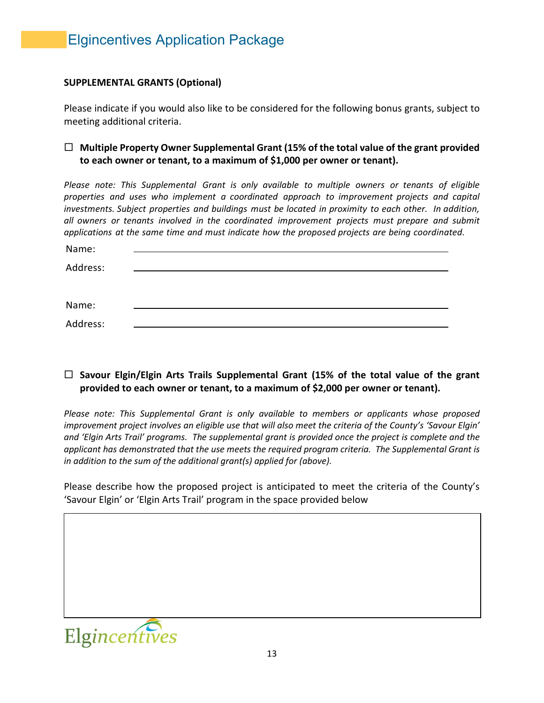## **SUPPLEMENTAL GRANTS (Optional)**

Please indicate if you would also like to be considered for the following bonus grants, subject to meeting additional criteria.

## **Multiple Property Owner Supplemental Grant (15% of the total value of the grant provided to each owner or tenant, to a maximum of \$1,000 per owner or tenant).**

*Please note: This Supplemental Grant is only available to multiple owners or tenants of eligible properties and uses who implement a coordinated approach to improvement projects and capital investments. Subject properties and buildings must be located in proximity to each other. In addition, all owners or tenants involved in the coordinated improvement projects must prepare and submit applications at the same time and must indicate how the proposed projects are being coordinated.*

| Name:    |  |  |
|----------|--|--|
| Address: |  |  |
|          |  |  |
|          |  |  |
| Name:    |  |  |
| Address: |  |  |

## **Savour Elgin/Elgin Arts Trails Supplemental Grant (15% of the total value of the grant provided to each owner or tenant, to a maximum of \$2,000 per owner or tenant).**

*Please note: This Supplemental Grant is only available to members or applicants whose proposed improvement project involves an eligible use that will also meet the criteria of the County's 'Savour Elgin' and 'Elgin Arts Trail' programs. The supplemental grant is provided once the project is complete and the applicant has demonstrated that the use meets the required program criteria. The Supplemental Grant is in addition to the sum of the additional grant(s) applied for (above).*

Please describe how the proposed project is anticipated to meet the criteria of the County's 'Savour Elgin' or 'Elgin Arts Trail' program in the space provided below

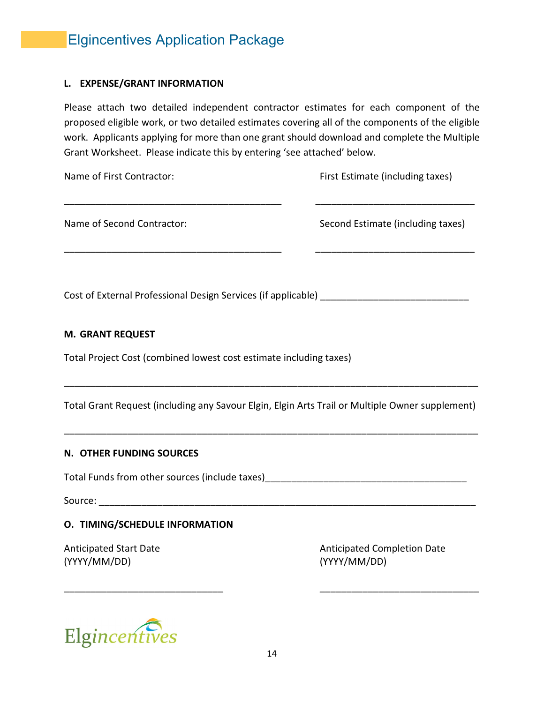#### **L. EXPENSE/GRANT INFORMATION**

Please attach two detailed independent contractor estimates for each component of the proposed eligible work, or two detailed estimates covering all of the components of the eligible work. Applicants applying for more than one grant should download and complete the Multiple Grant Worksheet. Please indicate this by entering 'see attached' below.

Name of First Contractor: The Contractor Contractor: First Estimate (including taxes) \_\_\_\_\_\_\_\_\_\_\_\_\_\_\_\_\_\_\_\_\_\_\_\_\_\_\_\_\_\_\_\_\_\_\_\_\_\_\_\_\_ \_\_\_\_\_\_\_\_\_\_\_\_\_\_\_\_\_\_\_\_\_\_\_\_\_\_\_\_\_\_

\_\_\_\_\_\_\_\_\_\_\_\_\_\_\_\_\_\_\_\_\_\_\_\_\_\_\_\_\_\_\_\_\_\_\_\_\_\_\_\_\_ \_\_\_\_\_\_\_\_\_\_\_\_\_\_\_\_\_\_\_\_\_\_\_\_\_\_\_\_\_\_

Name of Second Contractor: Second Estimate (including taxes)

Cost of External Professional Design Services (if applicable) \_\_\_\_\_\_\_\_\_\_\_\_\_\_\_\_\_\_\_

## **M. GRANT REQUEST**

Total Project Cost (combined lowest cost estimate including taxes)

Total Grant Request (including any Savour Elgin, Elgin Arts Trail or Multiple Owner supplement)

\_\_\_\_\_\_\_\_\_\_\_\_\_\_\_\_\_\_\_\_\_\_\_\_\_\_\_\_\_\_\_\_\_\_\_\_\_\_\_\_\_\_\_\_\_\_\_\_\_\_\_\_\_\_\_\_\_\_\_\_\_\_\_\_\_\_\_\_\_\_\_\_\_\_\_\_\_\_

\_\_\_\_\_\_\_\_\_\_\_\_\_\_\_\_\_\_\_\_\_\_\_\_\_\_\_\_\_\_\_\_\_\_\_\_\_\_\_\_\_\_\_\_\_\_\_\_\_\_\_\_\_\_\_\_\_\_\_\_\_\_\_\_\_\_\_\_\_\_\_\_\_\_\_\_\_\_

#### **N. OTHER FUNDING SOURCES**

Total Funds from other sources (include taxes)

Source: \_\_\_\_\_\_\_\_\_\_\_\_\_\_\_\_\_\_\_\_\_\_\_\_\_\_\_\_\_\_\_\_\_\_\_\_\_\_\_\_\_\_\_\_\_\_\_\_\_\_\_\_\_\_\_\_\_\_\_\_\_\_\_\_\_\_\_\_\_\_\_

## **O. TIMING/SCHEDULE INFORMATION**

(YYYY/MM/DD) (YYYY/MM/DD)

Anticipated Start Date Anticipated Completion Date



\_\_\_\_\_\_\_\_\_\_\_\_\_\_\_\_\_\_\_\_\_\_\_\_\_\_\_\_\_\_ \_\_\_\_\_\_\_\_\_\_\_\_\_\_\_\_\_\_\_\_\_\_\_\_\_\_\_\_\_\_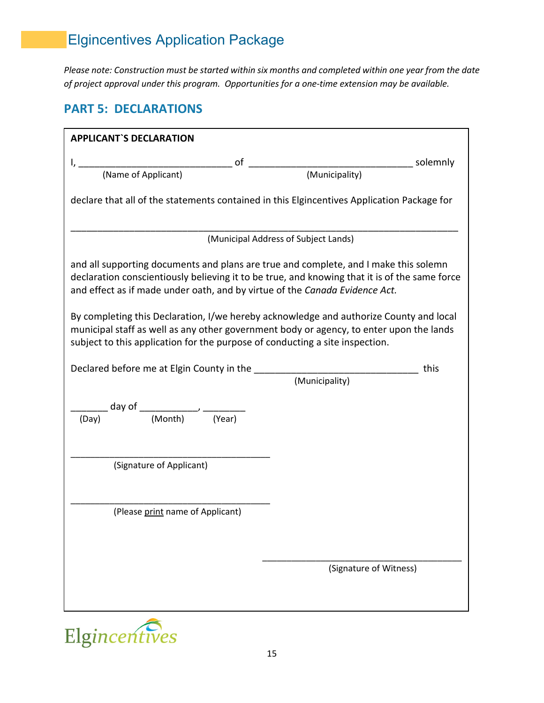*Please note: Construction must be started within six months and completed within one year from the date of project approval under this program. Opportunities for a one-time extension may be available.*

## **PART 5: DECLARATIONS**

| <b>APPLICANT'S DECLARATION</b>                                                                                                                                                                                                                                                                                                                                 |                                      |  |  |  |
|----------------------------------------------------------------------------------------------------------------------------------------------------------------------------------------------------------------------------------------------------------------------------------------------------------------------------------------------------------------|--------------------------------------|--|--|--|
|                                                                                                                                                                                                                                                                                                                                                                |                                      |  |  |  |
|                                                                                                                                                                                                                                                                                                                                                                |                                      |  |  |  |
| declare that all of the statements contained in this Elgincentives Application Package for                                                                                                                                                                                                                                                                     |                                      |  |  |  |
|                                                                                                                                                                                                                                                                                                                                                                | (Municipal Address of Subject Lands) |  |  |  |
| and all supporting documents and plans are true and complete, and I make this solemn<br>declaration conscientiously believing it to be true, and knowing that it is of the same force<br>and effect as if made under oath, and by virtue of the Canada Evidence Act.<br>By completing this Declaration, I/we hereby acknowledge and authorize County and local |                                      |  |  |  |
| municipal staff as well as any other government body or agency, to enter upon the lands<br>subject to this application for the purpose of conducting a site inspection.                                                                                                                                                                                        |                                      |  |  |  |
| Declared before me at Elgin County in the                                                                                                                                                                                                                                                                                                                      | this                                 |  |  |  |
|                                                                                                                                                                                                                                                                                                                                                                | (Municipality)                       |  |  |  |
| $\frac{1}{(\text{Day})}$ day of $\frac{1}{(\text{Month})}$ , $\frac{1}{(\text{Year})}$                                                                                                                                                                                                                                                                         |                                      |  |  |  |
| (Signature of Applicant)                                                                                                                                                                                                                                                                                                                                       |                                      |  |  |  |
|                                                                                                                                                                                                                                                                                                                                                                |                                      |  |  |  |
| (Please print name of Applicant)                                                                                                                                                                                                                                                                                                                               |                                      |  |  |  |
|                                                                                                                                                                                                                                                                                                                                                                |                                      |  |  |  |
|                                                                                                                                                                                                                                                                                                                                                                | (Signature of Witness)               |  |  |  |
|                                                                                                                                                                                                                                                                                                                                                                |                                      |  |  |  |

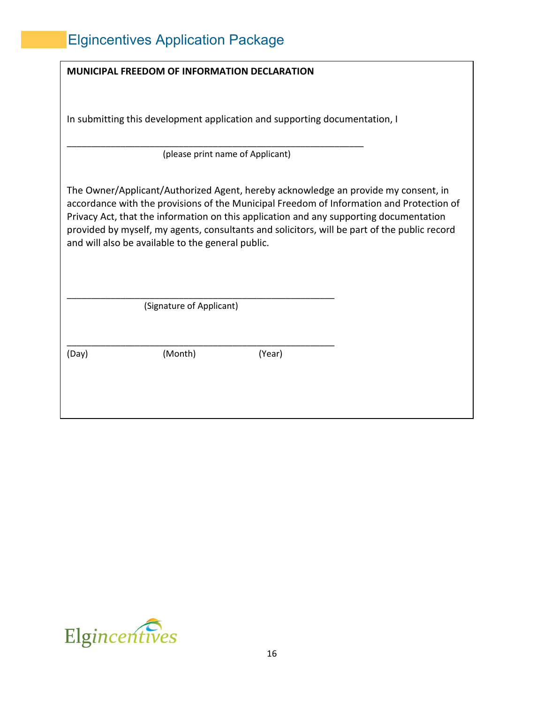|       | <b>MUNICIPAL FREEDOM OF INFORMATION DECLARATION</b> |                                                                                                                                                                                                                                                                                                                                                                          |  |
|-------|-----------------------------------------------------|--------------------------------------------------------------------------------------------------------------------------------------------------------------------------------------------------------------------------------------------------------------------------------------------------------------------------------------------------------------------------|--|
|       |                                                     | In submitting this development application and supporting documentation, I<br>(please print name of Applicant)                                                                                                                                                                                                                                                           |  |
|       | and will also be available to the general public.   | The Owner/Applicant/Authorized Agent, hereby acknowledge an provide my consent, in<br>accordance with the provisions of the Municipal Freedom of Information and Protection of<br>Privacy Act, that the information on this application and any supporting documentation<br>provided by myself, my agents, consultants and solicitors, will be part of the public record |  |
|       | (Signature of Applicant)                            |                                                                                                                                                                                                                                                                                                                                                                          |  |
| (Day) | (Month)                                             | (Year)                                                                                                                                                                                                                                                                                                                                                                   |  |

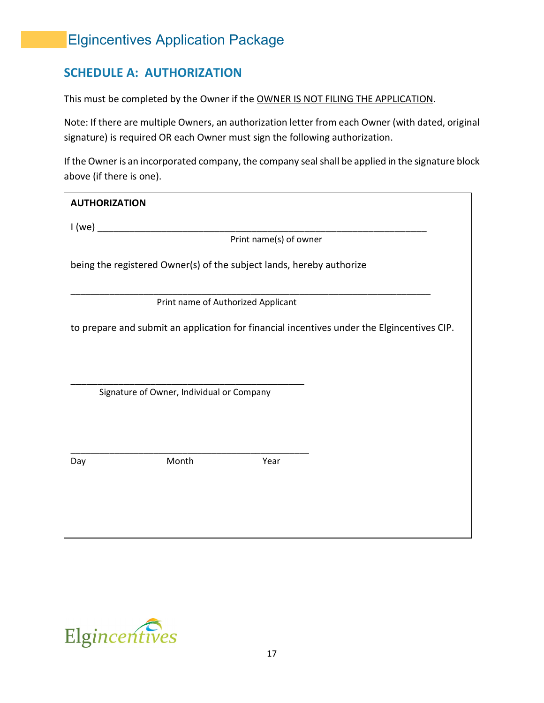## **SCHEDULE A: AUTHORIZATION**

This must be completed by the Owner if the OWNER IS NOT FILING THE APPLICATION.

Note: If there are multiple Owners, an authorization letter from each Owner (with dated, original signature) is required OR each Owner must sign the following authorization.

If the Owner is an incorporated company, the company seal shall be applied in the signature block above (if there is one).

| <b>AUTHORIZATION</b>                                                                       |  |
|--------------------------------------------------------------------------------------------|--|
| I(we)<br><u> 1989 - Johann Barn, mars an t-Amerikaansk kommunister (</u>                   |  |
| Print name(s) of owner                                                                     |  |
| being the registered Owner(s) of the subject lands, hereby authorize                       |  |
| Print name of Authorized Applicant                                                         |  |
| to prepare and submit an application for financial incentives under the Elgincentives CIP. |  |
|                                                                                            |  |
| Signature of Owner, Individual or Company                                                  |  |
| Month<br>Year<br>Day                                                                       |  |